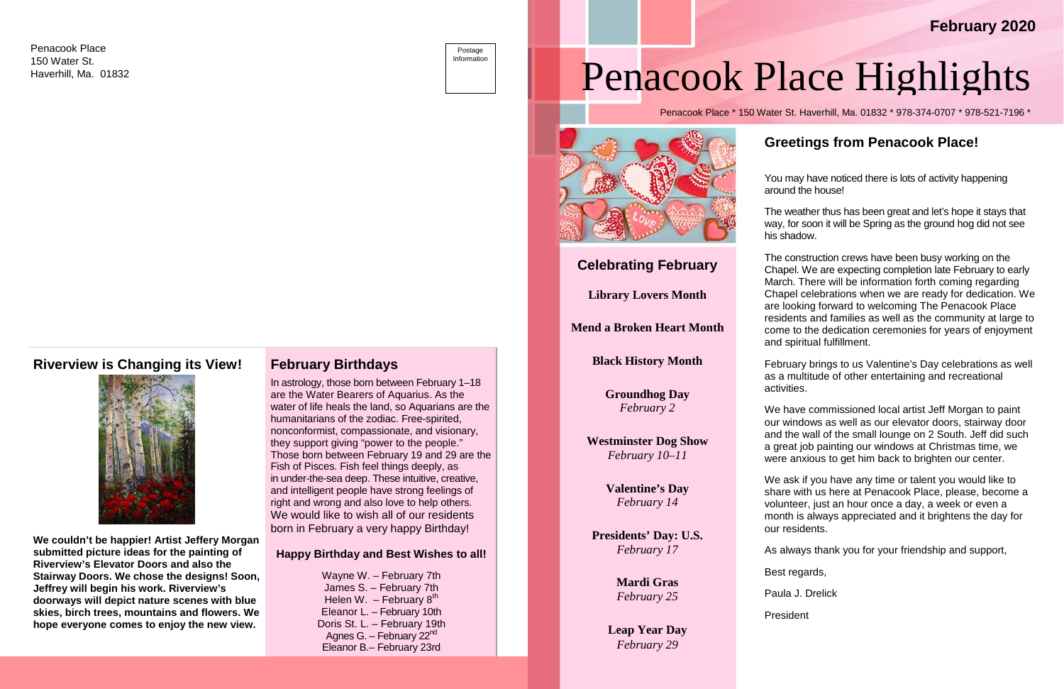# Penacook Place Highlights

Penacook Place \* 150 Water St. Haverhill, Ma. 01832 \* 978-374-0707 \* 978-521-7196 \*

## **Greetings from Penacook Place!**

You may have noticed there is lots of activity happening around the house!

The weather thus has been great and let's hope it stays that way, for soon it will be Spring as the ground hog did not see his shadow.

The construction crews have been busy working on the Chapel. We are expecting completion late February to early March. There will be information forth coming regarding Chapel celebrations when we are ready for dedication. We are looking forward to welcoming The Penacook Place residents and families as well as the community at large to come to the dedication ceremonies for years of enjoyment and spiritual fulfillment.

February brings to us Valentine's Day celebrations as well as a multitude of other entertaining and recreational activities.

We have commissioned local artist Jeff Morgan to paint our windows as well as our elevator doors, stairway door and the wall of the small lounge on 2 South. Jeff did such a great job painting our windows at Christmas time, we were anxious to get him back to brighten our center.

We ask if you have any time or talent you would like to share with us here at Penacook Place, please, become a volunteer, just an hour once a day, a week or even a month is always appreciated and it brightens the day for our residents.

As always thank you for your friendship and support,

Best regards,

Paula J. Drelick

President

### **Riverview is Changing its View!**



Postage Information

**We couldn't be happier! Artist Jeffery Morgan submitted picture ideas for the painting of Riverview's Elevator Doors and also the Stairway Doors. We chose the designs! Soon, Jeffrey will begin his work. Riverview's doorways will depict nature scenes with blue skies, birch trees, mountains and flowers. We hope everyone comes to enjoy the new view.**

#### **February Birthdays**

In astrology, those born between February 1–18 are the Water Bearers of Aquarius. As the water of life heals the land, so Aquarians are the humanitarians of the zodiac. Free-spirited, nonconformist, compassionate, and visionary, they support giving "power to the people." Those born between February 19 and 29 are the Fish of Pisces. Fish feel things deeply, as in under-the-sea deep. These intuitive, creative, and intelligent people have strong feelings of right and wrong and also love to help others. We would like to wish all of our residents born in February a very happy Birthday!

#### **Happy Birthday and Best Wishes to all!**

Wayne W. – February 7th James S. – February 7th Helen W. – February  $8<sup>th</sup>$ Eleanor L. – February 10th Doris St. L. – February 19th Agnes G. – February  $22<sup>nd</sup>$ Eleanor B.– February 23rd

# **February 2020**

### **Celebrating February**

**Library Lovers Month**

**Mend a Broken Heart Month**

**Black History Month**

**Groundhog Day** *February 2*

**Westminster Dog Show** *February 10–11*

> **Valentine's Day** *February 14*

**Presidents' Day: U.S.** *February 17*

> **Mardi Gras** *February 25*

**Leap Year Day** *February 29*

Penacook Place 150 Water St. Haverhill, Ma. 01832